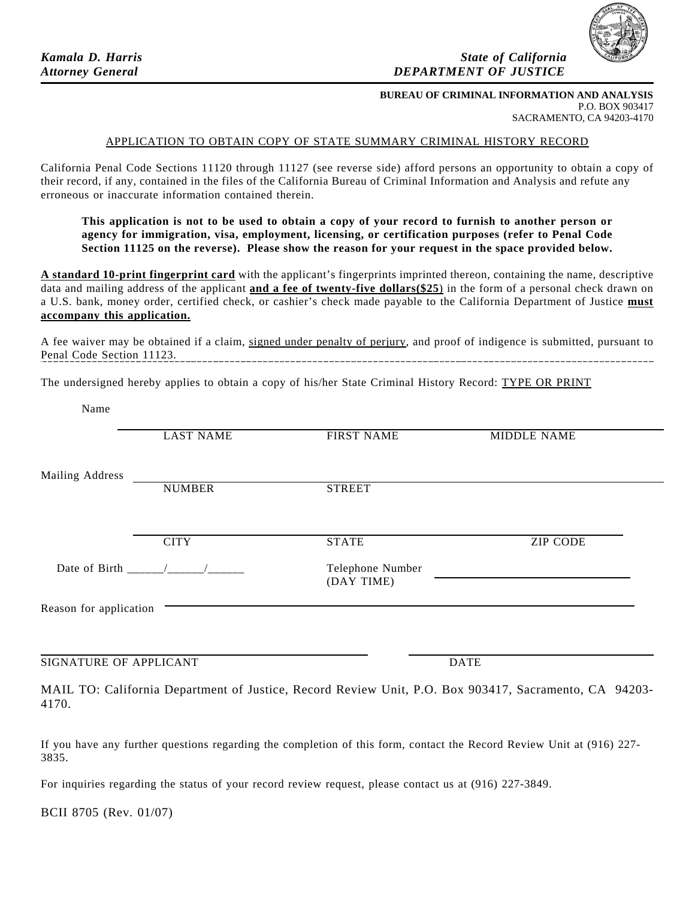

## *Kamala D. Harris*  $\alpha$  *Kamala D. Harris*  $\alpha$  *State of California*  $\alpha$ *Attorney General DEPARTMENT OF JUSTICE*

## **BUREAU OF CRIMINAL INFORMATION AND ANALYSIS** P.O. BOX 903417 SACRAMENTO, CA 94203-4170

## APPLICATION TO OBTAIN COPY OF STATE SUMMARY CRIMINAL HISTORY RECORD

California Penal Code Sections 11120 through 11127 (see reverse side) afford persons an opportunity to obtain a copy of their record, if any, contained in the files of the California Bureau of Criminal Information and Analysis and refute any erroneous or inaccurate information contained therein.

**This application is not to be used to obtain a copy of your record to furnish to another person or agency for immigration, visa, employment, licensing, or certification purposes (refer to Penal Code Section 11125 on the reverse). Please show the reason for your request in the space provided below.** 

**A standard 10-print fingerprint card** with the applicant's fingerprints imprinted thereon, containing the name, descriptive data and mailing address of the applicant **and a fee of twenty-five dollars(\$25**) in the form of a personal check drawn on a U.S. bank, money order, certified check, or cashier's check made payable to the California Department of Justice **must accompany this application.** 

A fee waiver may be obtained if a claim, signed under penalty of perjury, and proof of indigence is submitted, pursuant to Penal Code Section 11123.

The undersigned hereby applies to obtain a copy of his/her State Criminal History Record: TYPE OR PRINT

Name

|                        | <b>LAST NAME</b>              | <b>FIRST NAME</b>              | <b>MIDDLE NAME</b>                                                                                     |
|------------------------|-------------------------------|--------------------------------|--------------------------------------------------------------------------------------------------------|
| Mailing Address        |                               |                                |                                                                                                        |
|                        | <b>NUMBER</b>                 | <b>STREET</b>                  |                                                                                                        |
|                        |                               |                                |                                                                                                        |
|                        | <b>CITY</b>                   | <b>STATE</b>                   | <b>ZIP CODE</b>                                                                                        |
|                        | Date of Birth $\frac{1}{2}$ / | Telephone Number<br>(DAY TIME) |                                                                                                        |
| Reason for application |                               |                                |                                                                                                        |
|                        |                               |                                |                                                                                                        |
| SIGNATURE OF APPLICANT |                               |                                | <b>DATE</b>                                                                                            |
|                        |                               |                                | MAII TO: Colifornia Department of Justice, Becord Boujou: Unit, B.O. Boy 002417, Secrepante, CA, 04202 |

MAIL TO: California Department of Justice, Record Review Unit, P.O. Box 903417, Sacramento, CA 94203- 4170.

If you have any further questions regarding the completion of this form, contact the Record Review Unit at (916) 227- 3835.

For inquiries regarding the status of your record review request, please contact us at (916) 227-3849.

BCII 8705 (Rev. 01/07)